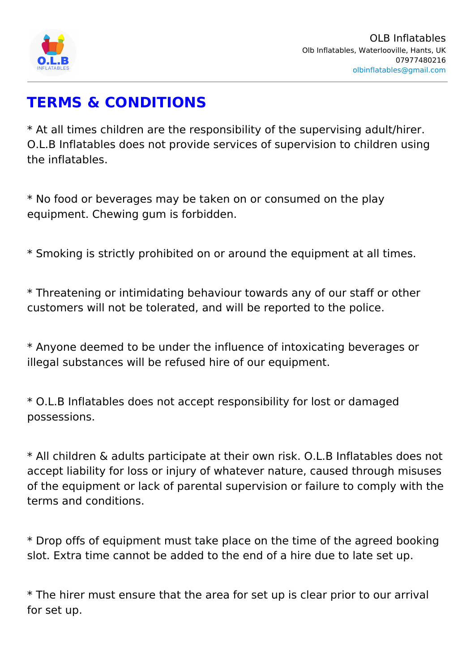# TERMS & CONDITIONS

\* At all times children are the responsibility of the supervis O.L.B Inflatables does not provide services of supervision t the inflatables.

\* No food or beverages may be taken on or consumed on the equipment. Chewing gum is forbidden.

\* Smoking is strictly prohibited on or around the equipment

\* Threatening or intimidating behaviour towards any of our stational customers will not be tolerated, and will be reported to the

\* Anyone deemed to be under the influence of intoxicating b illegal substances will be refused hire of our equipment.

\* O.L.B Inflatables does not accept responsibility for lost o possessions.

\* All children & adults participate at their own risk. O.L.B I accept liability for loss or injury of whatever nature, caused of the equipment or lack of parental supervision or failure t terms and conditions.

\* Drop offs of equipment must take place on the time of the slot. Extra time cannot be added to the end of a hire due to

\* The hirer must ensure that the area for set up is clear pri for set up.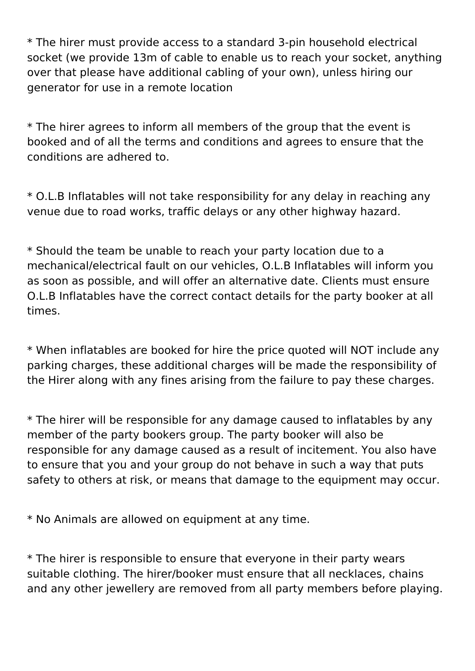\* The hirer must provide access to a standard 3-pin household electrical socket (we provide 13m of cable to enable us to reach your socket, anything over that please have additional cabling of your own), unless hiring our generator for use in a remote location

\* The hirer agrees to inform all members of the group that the event is booked and of all the terms and conditions and agrees to ensure that the conditions are adhered to.

\* O.L.B Inflatables will not take responsibility for any delay in reaching any venue due to road works, traffic delays or any other highway hazard.

\* Should the team be unable to reach your party location due to a mechanical/electrical fault on our vehicles, O.L.B Inflatables will inform you as soon as possible, and will offer an alternative date. Clients must ensure O.L.B Inflatables have the correct contact details for the party booker at all times.

\* When inflatables are booked for hire the price quoted will NOT include any parking charges, these additional charges will be made the responsibility of the Hirer along with any fines arising from the failure to pay these charges.

\* The hirer will be responsible for any damage caused to inflatables by any member of the party bookers group. The party booker will also be responsible for any damage caused as a result of incitement. You also have to ensure that you and your group do not behave in such a way that puts safety to others at risk, or means that damage to the equipment may occur.

\* No Animals are allowed on equipment at any time.

\* The hirer is responsible to ensure that everyone in their party wears suitable clothing. The hirer/booker must ensure that all necklaces, chains and any other jewellery are removed from all party members before playing.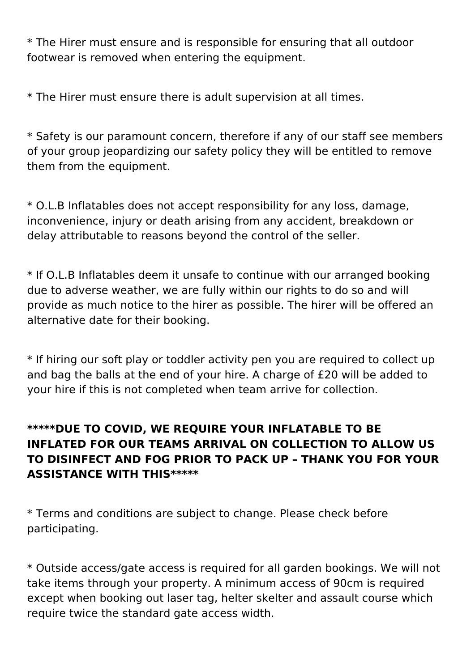\* The Hirer must ensure and is responsible for ensuring that all outdoor footwear is removed when entering the equipment.

\* The Hirer must ensure there is adult supervision at all times.

\* Safety is our paramount concern, therefore if any of our staff see members of your group jeopardizing our safety policy they will be entitled to remove them from the equipment.

\* O.L.B Inflatables does not accept responsibility for any loss, damage, inconvenience, injury or death arising from any accident, breakdown or delay attributable to reasons beyond the control of the seller.

\* If O.L.B Inflatables deem it unsafe to continue with our arranged booking due to adverse weather, we are fully within our rights to do so and will provide as much notice to the hirer as possible. The hirer will be offered an alternative date for their booking.

\* If hiring our soft play or toddler activity pen you are required to collect up and bag the balls at the end of your hire. A charge of £20 will be added to your hire if this is not completed when team arrive for collection.

## **\*\*\*\*\*DUE TO COVID, WE REQUIRE YOUR INFLATABLE TO BE INFLATED FOR OUR TEAMS ARRIVAL ON COLLECTION TO ALLOW US TO DISINFECT AND FOG PRIOR TO PACK UP – THANK YOU FOR YOUR ASSISTANCE WITH THIS\*\*\*\*\***

\* Terms and conditions are subject to change. Please check before participating.

\* Outside access/gate access is required for all garden bookings. We will not take items through your property. A minimum access of 90cm is required except when booking out laser tag, helter skelter and assault course which require twice the standard gate access width.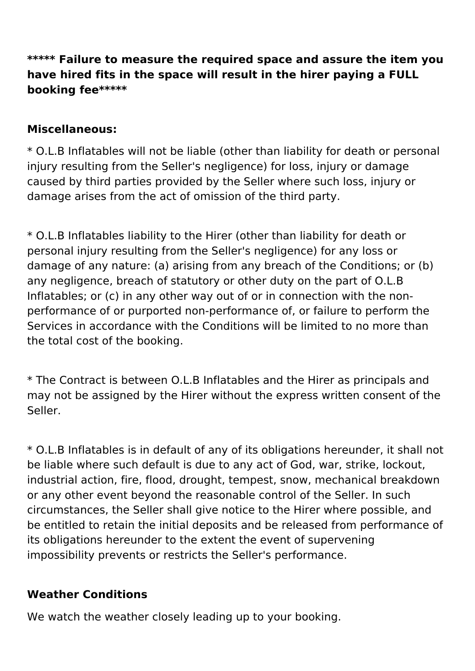## **\*\*\*\*\* Failure to measure the required space and assure the item you have hired fits in the space will result in the hirer paying a FULL booking fee\*\*\*\*\***

#### **Miscellaneous:**

\* O.L.B Inflatables will not be liable (other than liability for death or personal injury resulting from the Seller's negligence) for loss, injury or damage caused by third parties provided by the Seller where such loss, injury or damage arises from the act of omission of the third party.

\* O.L.B Inflatables liability to the Hirer (other than liability for death or personal injury resulting from the Seller's negligence) for any loss or damage of any nature: (a) arising from any breach of the Conditions; or (b) any negligence, breach of statutory or other duty on the part of O.L.B Inflatables; or (c) in any other way out of or in connection with the nonperformance of or purported non-performance of, or failure to perform the Services in accordance with the Conditions will be limited to no more than the total cost of the booking.

\* The Contract is between O.L.B Inflatables and the Hirer as principals and may not be assigned by the Hirer without the express written consent of the Seller.

\* O.L.B Inflatables is in default of any of its obligations hereunder, it shall not be liable where such default is due to any act of God, war, strike, lockout, industrial action, fire, flood, drought, tempest, snow, mechanical breakdown or any other event beyond the reasonable control of the Seller. In such circumstances, the Seller shall give notice to the Hirer where possible, and be entitled to retain the initial deposits and be released from performance of its obligations hereunder to the extent the event of supervening impossibility prevents or restricts the Seller's performance.

#### **Weather Conditions**

We watch the weather closely leading up to your booking.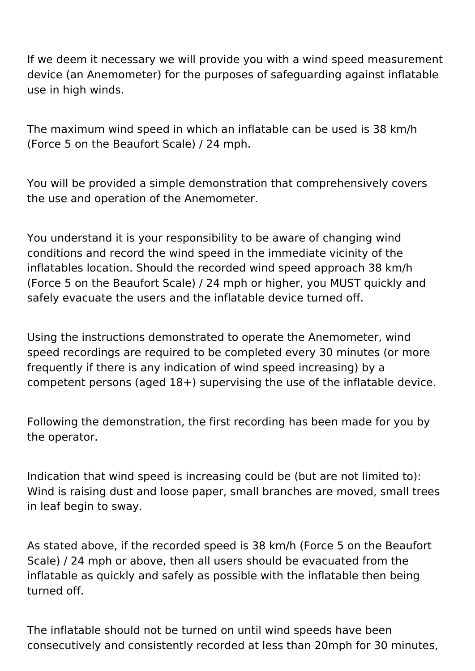If we deem it necessary we will provide you with a wind speed measurement device (an Anemometer) for the purposes of safeguarding against inflatable use in high winds.

The maximum wind speed in which an inflatable can be used is 38 km/h (Force 5 on the Beaufort Scale) / 24 mph.

You will be provided a simple demonstration that comprehensively covers the use and operation of the Anemometer.

You understand it is your responsibility to be aware of changing wind conditions and record the wind speed in the immediate vicinity of the inflatables location. Should the recorded wind speed approach 38 km/h (Force 5 on the Beaufort Scale) / 24 mph or higher, you MUST quickly and safely evacuate the users and the inflatable device turned off.

Using the instructions demonstrated to operate the Anemometer, wind speed recordings are required to be completed every 30 minutes (or more frequently if there is any indication of wind speed increasing) by a competent persons (aged 18+) supervising the use of the inflatable device.

Following the demonstration, the first recording has been made for you by the operator.

Indication that wind speed is increasing could be (but are not limited to): Wind is raising dust and loose paper, small branches are moved, small trees in leaf begin to sway.

As stated above, if the recorded speed is 38 km/h (Force 5 on the Beaufort Scale) / 24 mph or above, then all users should be evacuated from the inflatable as quickly and safely as possible with the inflatable then being turned off.

The inflatable should not be turned on until wind speeds have been consecutively and consistently recorded at less than 20mph for 30 minutes,